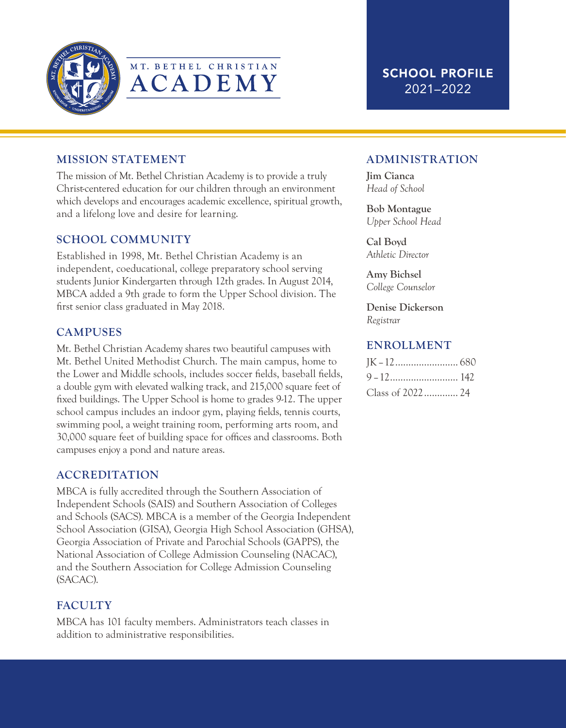



## MISSION STATEMENT

The mission of Mt. Bethel Christian Academy is to provide a truly Christ-centered education for our children through an environment which develops and encourages academic excellence, spiritual growth, and a lifelong love and desire for learning.

### SCHOOL COMMUNITY

Established in 1998, Mt. Bethel Christian Academy is an independent, coeducational, college preparatory school serving students Junior Kindergarten through 12th grades. In August 2014, MBCA added a 9th grade to form the Upper School division. The first senior class graduated in May 2018.

### **CAMPUSES**

Mt. Bethel Christian Academy shares two beautiful campuses with Mt. Bethel United Methodist Church. The main campus, home to the Lower and Middle schools, includes soccer fields, baseball fields, a double gym with elevated walking track, and 215,000 square feet of fixed buildings. The Upper School is home to grades 9-12. The upper school campus includes an indoor gym, playing fields, tennis courts, swimming pool, a weight training room, performing arts room, and 30,000 square feet of building space for offices and classrooms. Both campuses enjoy a pond and nature areas.

## ACCREDITATION

MBCA is fully accredited through the Southern Association of Independent Schools (SAIS) and Southern Association of Colleges and Schools (SACS). MBCA is a member of the Georgia Independent School Association (GISA), Georgia High School Association (GHSA), Georgia Association of Private and Parochial Schools (GAPPS), the National Association of College Admission Counseling (NACAC), and the Southern Association for College Admission Counseling (SACAC).

## **FACULTY**

MBCA has 101 faculty members. Administrators teach classes in addition to administrative responsibilities.

## ADMINISTRATION

Jim Cianca *Head of School*

#### Bob Montague *Upper School Head*

Cal Boyd *Athletic Director*

#### Amy Bichsel *College Counselor*

Denise Dickerson *Registrar*

### ENROLLMENT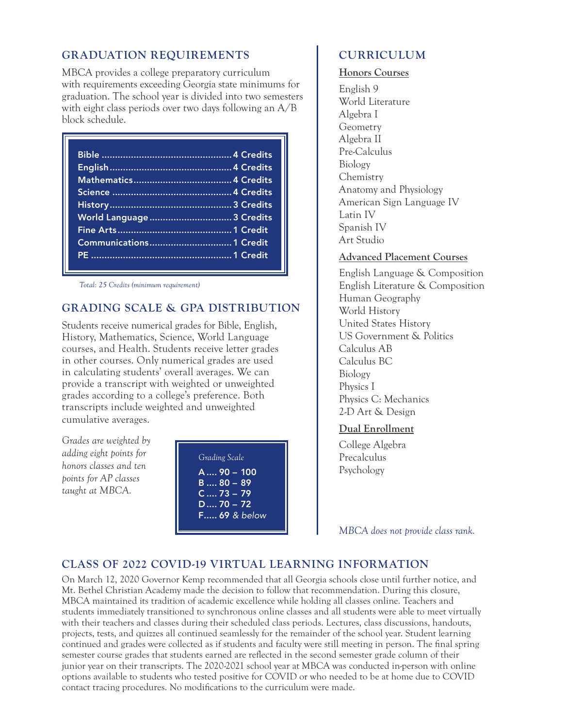## GRADUATION REQUIREMENTS

MBCA provides a college preparatory curriculum with requirements exceeding Georgia state minimums for graduation. The school year is divided into two semesters with eight class periods over two days following an A/B block schedule.

| World Language  3 Credits |  |
|---------------------------|--|
|                           |  |
|                           |  |
|                           |  |
|                           |  |

*Total: 25 Credits (minimum requirement)*

## GRADING SCALE & GPA DISTRIBUTION

Students receive numerical grades for Bible, English, History, Mathematics, Science, World Language courses, and Health. Students receive letter grades in other courses. Only numerical grades are used in calculating students' overall averages. We can provide a transcript with weighted or unweighted grades according to a college's preference. Both transcripts include weighted and unweighted cumulative averages.

*Grades are weighted by adding eight points for honors classes and ten points for AP classes taught at MBCA.*



# CURRICULUM

Honors Courses English 9

World Literature Algebra I Geometry Algebra II Pre-Calculus Biology **Chemistry** Anatomy and Physiology American Sign Language IV Latin IV Spanish IV Art Studio

Advanced Placement Courses

English Language & Composition English Literature & Composition Human Geography World History United States History US Government & Politics Calculus AB Calculus BC Biology Physics I Physics C: Mechanics 2-D Art & Design

Dual Enrollment

College Algebra Precalculus Psychology

*MBCA does not provide class rank.*

# CLASS OF 2022 COVID-19 VIRTUAL LEARNING INFORMATION

On March 12, 2020 Governor Kemp recommended that all Georgia schools close until further notice, and Mt. Bethel Christian Academy made the decision to follow that recommendation. During this closure, MBCA maintained its tradition of academic excellence while holding all classes online. Teachers and students immediately transitioned to synchronous online classes and all students were able to meet virtually with their teachers and classes during their scheduled class periods. Lectures, class discussions, handouts, projects, tests, and quizzes all continued seamlessly for the remainder of the school year. Student learning continued and grades were collected as if students and faculty were still meeting in person. The final spring semester course grades that students earned are reflected in the second semester grade column of their junior year on their transcripts. The 2020-2021 school year at MBCA was conducted in-person with online options available to students who tested positive for COVID or who needed to be at home due to COVID contact tracing procedures. No modifications to the curriculum were made.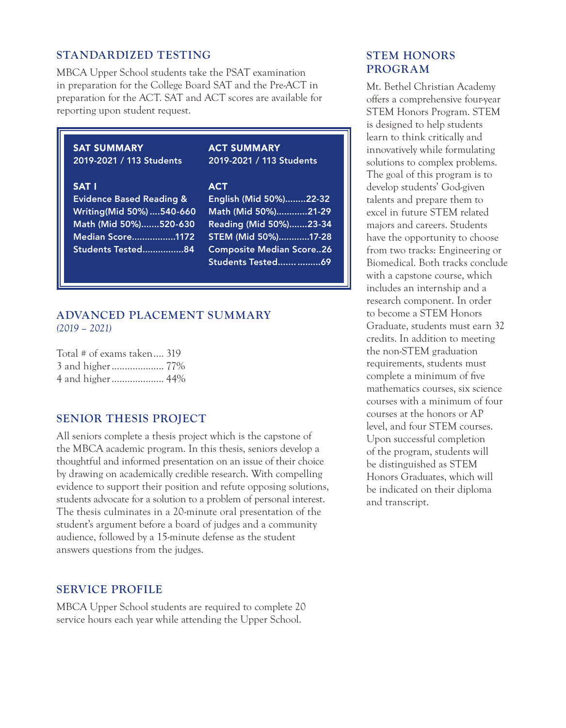#### STANDARDIZED TESTING

MBCA Upper School students take the PSAT examination in preparation for the College Board SAT and the Pre-ACT in preparation for the ACT. SAT and ACT scores are available for reporting upon student request.

## SAT SUMMARY

2019-2021 / 113 Students

#### SAT I

Evidence Based Reading & Writing(Mid 50%) ....540-660 Math (Mid 50%).......520-630 Median Score.................1172 Students Tested................84

#### ACT SUMMARY 2019-2021 / 113 Students

#### **ACT**

| English (Mid 50%)22-32          |  |
|---------------------------------|--|
| Math (Mid 50%)21-29             |  |
| Reading (Mid 50%)23-34          |  |
| STEM (Mid 50%)17-28             |  |
| <b>Composite Median Score26</b> |  |
| Students Tested  69             |  |

#### ADVANCED PLACEMENT SUMMARY *(2019 – 2021)*

| Total # of exams taken 319 |  |
|----------------------------|--|
| 3 and higher 77%           |  |
| 4 and higher 44%           |  |

#### SENIOR THESIS PROJECT

All seniors complete a thesis project which is the capstone of the MBCA academic program. In this thesis, seniors develop a thoughtful and informed presentation on an issue of their choice by drawing on academically credible research. With compelling evidence to support their position and refute opposing solutions, students advocate for a solution to a problem of personal interest. The thesis culminates in a 20-minute oral presentation of the student's argument before a board of judges and a community audience, followed by a 15-minute defense as the student answers questions from the judges.

#### SERVICE PROFILE

MBCA Upper School students are required to complete 20 service hours each year while attending the Upper School.

## STEM HONORS PROGRAM

Mt. Bethel Christian Academy offers a comprehensive four-year STEM Honors Program. STEM is designed to help students learn to think critically and innovatively while formulating solutions to complex problems. The goal of this program is to develop students' God-given talents and prepare them to excel in future STEM related majors and careers. Students have the opportunity to choose from two tracks: Engineering or Biomedical. Both tracks conclude with a capstone course, which includes an internship and a research component. In order to become a STEM Honors Graduate, students must earn 32 credits. In addition to meeting the non-STEM graduation requirements, students must complete a minimum of five mathematics courses, six science courses with a minimum of four courses at the honors or AP level, and four STEM courses. Upon successful completion of the program, students will be distinguished as STEM Honors Graduates, which will be indicated on their diploma and transcript.